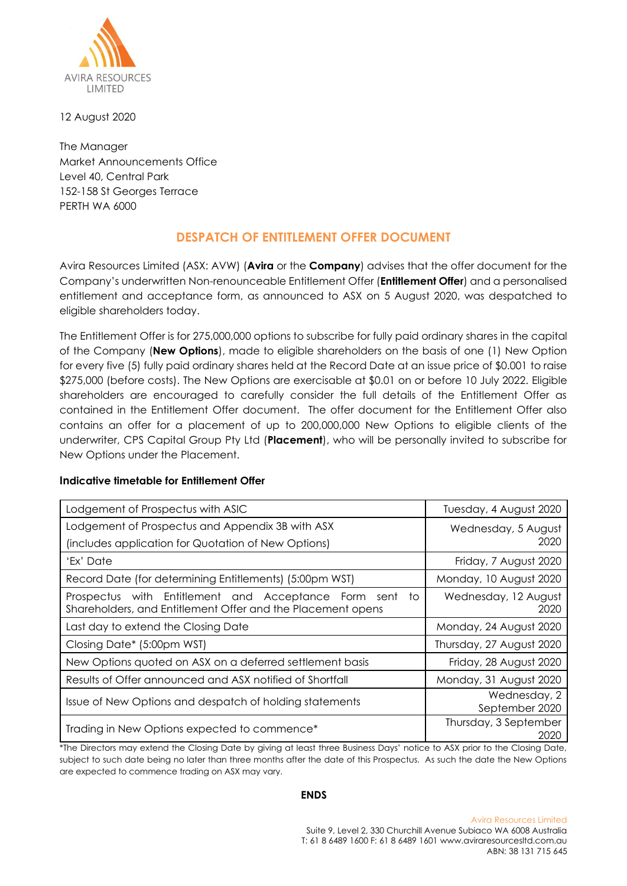

12 August 2020

The Manager Market Announcements Office Level 40, Central Park 152-158 St Georges Terrace PERTH WA 6000

## **DESPATCH OF ENTITLEMENT OFFER DOCUMENT**

Avira Resources Limited (ASX: AVW) (**Avira** or the **Company**) advises that the offer document for the Company's underwritten Non-renounceable Entitlement Offer (**Entitlement Offer**) and a personalised entitlement and acceptance form, as announced to ASX on 5 August 2020, was despatched to eligible shareholders today.

The Entitlement Offer is for 275,000,000 options to subscribe for fully paid ordinary shares in the capital of the Company (**New Options**), made to eligible shareholders on the basis of one (1) New Option for every five (5) fully paid ordinary shares held at the Record Date at an issue price of \$0.001 to raise \$275,000 (before costs). The New Options are exercisable at \$0.01 on or before 10 July 2022. Eligible shareholders are encouraged to carefully consider the full details of the Entitlement Offer as contained in the Entitlement Offer document. The offer document for the Entitlement Offer also contains an offer for a placement of up to 200,000,000 New Options to eligible clients of the underwriter, CPS Capital Group Pty Ltd (**Placement**), who will be personally invited to subscribe for New Options under the Placement.

## **Indicative timetable for Entitlement Offer**

| Lodgement of Prospectus with ASIC                                                                                         | Tuesday, 4 August 2020         |
|---------------------------------------------------------------------------------------------------------------------------|--------------------------------|
| Lodgement of Prospectus and Appendix 3B with ASX                                                                          | Wednesday, 5 August            |
| (includes application for Quotation of New Options)                                                                       | 2020                           |
| 'Ex' Date                                                                                                                 | Friday, 7 August 2020          |
| Record Date (for determining Entitlements) (5:00pm WST)                                                                   | Monday, 10 August 2020         |
| Prospectus with Entitlement and Acceptance Form sent<br>to<br>Shareholders, and Entitlement Offer and the Placement opens | Wednesday, 12 August<br>2020   |
| Last day to extend the Closing Date                                                                                       | Monday, 24 August 2020         |
| Closing Date* (5:00pm WST)                                                                                                | Thursday, 27 August 2020       |
| New Options quoted on ASX on a deferred settlement basis                                                                  | Friday, 28 August 2020         |
| Results of Offer announced and ASX notified of Shortfall                                                                  | Monday, 31 August 2020         |
| Issue of New Options and despatch of holding statements                                                                   | Wednesday, 2<br>September 2020 |
| Trading in New Options expected to commence*                                                                              | Thursday, 3 September<br>2020  |

\*The Directors may extend the Closing Date by giving at least three Business Days' notice to ASX prior to the Closing Date, subject to such date being no later than three months after the date of this Prospectus. As such the date the New Options are expected to commence trading on ASX may vary.

## **ENDS**